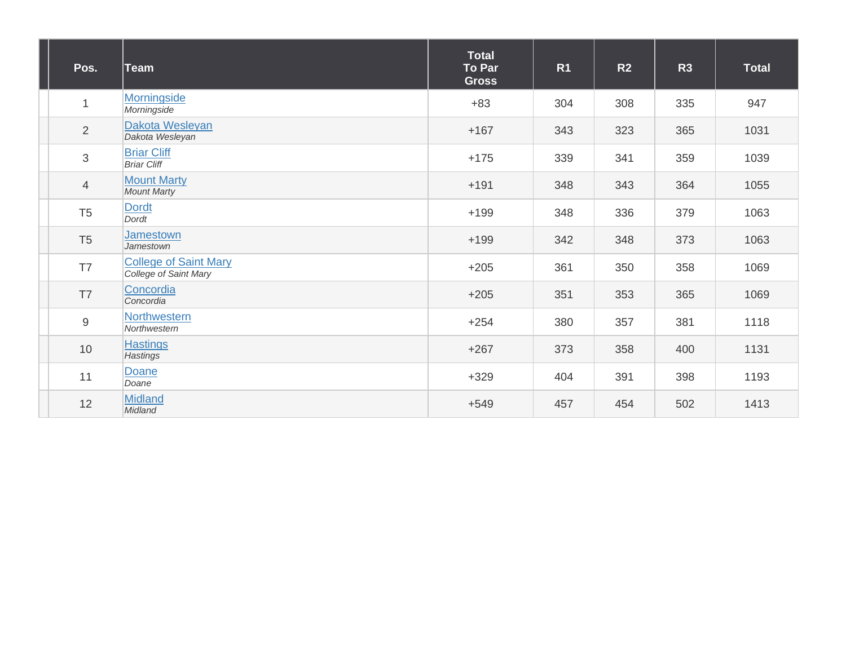| Pos.           | ∣Team                                                 | <b>Total</b><br><b>To Par</b><br><b>Gross</b> | R <sub>1</sub> | R <sub>2</sub> | R3  | <b>Total</b> |
|----------------|-------------------------------------------------------|-----------------------------------------------|----------------|----------------|-----|--------------|
| $\mathbf{1}$   | Morningside<br>Morningside                            | $+83$                                         | 304            | 308            | 335 | 947          |
| 2              | Dakota Wesleyan<br>Dakota Wesleyan                    | $+167$                                        | 343            | 323            | 365 | 1031         |
| $\mathfrak{S}$ | <b>Briar Cliff</b><br><b>Briar Cliff</b>              | $+175$                                        | 339            | 341            | 359 | 1039         |
| $\overline{4}$ | <b>Mount Marty</b><br><b>Mount Marty</b>              | $+191$                                        | 348            | 343            | 364 | 1055         |
| T <sub>5</sub> | <b>Dordt</b><br>Dordt                                 | $+199$                                        | 348            | 336            | 379 | 1063         |
| T <sub>5</sub> | <b>Jamestown</b><br>Jamestown                         | $+199$                                        | 342            | 348            | 373 | 1063         |
| T7             | <b>College of Saint Mary</b><br>College of Saint Mary | $+205$                                        | 361            | 350            | 358 | 1069         |
| T7             | Concordia<br>Concordia                                | $+205$                                        | 351            | 353            | 365 | 1069         |
| $9\,$          | Northwestern<br>Northwestern                          | $+254$                                        | 380            | 357            | 381 | 1118         |
| 10             | <b>Hastings</b><br>Hastings                           | $+267$                                        | 373            | 358            | 400 | 1131         |
| 11             | Doane<br>Doane                                        | $+329$                                        | 404            | 391            | 398 | 1193         |
| 12             | <b>Midland</b><br>Midland                             | $+549$                                        | 457            | 454            | 502 | 1413         |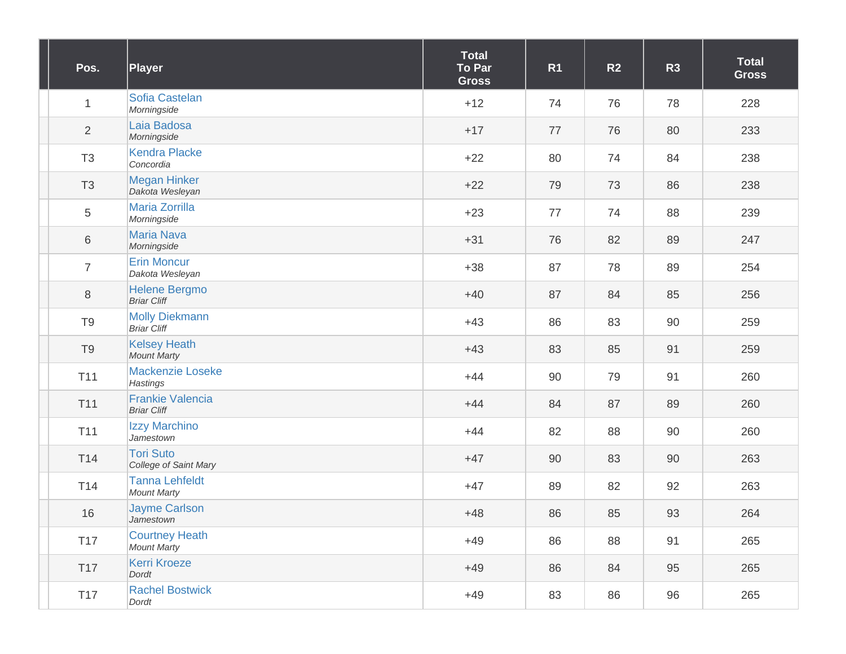| Pos.            | <b>Player</b>                                 | <b>Total</b><br>To Par<br><b>Gross</b> | R <sub>1</sub> | R <sub>2</sub> | R3 | <b>Total</b><br><b>Gross</b> |
|-----------------|-----------------------------------------------|----------------------------------------|----------------|----------------|----|------------------------------|
| $\mathbf{1}$    | Sofia Castelan<br>Morningside                 | $+12$                                  | 74             | 76             | 78 | 228                          |
| $\overline{2}$  | Laia Badosa<br>Morningside                    | $+17$                                  | 77             | 76             | 80 | 233                          |
| T <sub>3</sub>  | <b>Kendra Placke</b><br>Concordia             | $+22$                                  | 80             | 74             | 84 | 238                          |
| T <sub>3</sub>  | <b>Megan Hinker</b><br>Dakota Wesleyan        | $+22$                                  | 79             | 73             | 86 | 238                          |
| 5               | <b>Maria Zorrilla</b><br>Morningside          | $+23$                                  | 77             | 74             | 88 | 239                          |
| $\,6$           | <b>Maria Nava</b><br>Morningside              | $+31$                                  | 76             | 82             | 89 | 247                          |
| $\overline{7}$  | <b>Erin Moncur</b><br>Dakota Wesleyan         | $+38$                                  | 87             | 78             | 89 | 254                          |
| $\,8\,$         | <b>Helene Bergmo</b><br><b>Briar Cliff</b>    | $+40$                                  | 87             | 84             | 85 | 256                          |
| T <sub>9</sub>  | <b>Molly Diekmann</b><br><b>Briar Cliff</b>   | $+43$                                  | 86             | 83             | 90 | 259                          |
| T <sub>9</sub>  | <b>Kelsey Heath</b><br><b>Mount Marty</b>     | $+43$                                  | 83             | 85             | 91 | 259                          |
| T11             | Mackenzie Loseke<br>Hastings                  | $+44$                                  | 90             | 79             | 91 | 260                          |
| T11             | <b>Frankie Valencia</b><br><b>Briar Cliff</b> | $+44$                                  | 84             | 87             | 89 | 260                          |
| T <sub>11</sub> | Izzy Marchino<br>Jamestown                    | $+44$                                  | 82             | 88             | 90 | 260                          |
| T14             | <b>Tori Suto</b><br>College of Saint Mary     | $+47$                                  | 90             | 83             | 90 | 263                          |
| T <sub>14</sub> | <b>Tanna Lehfeldt</b><br><b>Mount Marty</b>   | $+47$                                  | 89             | 82             | 92 | 263                          |
| 16              | <b>Jayme Carlson</b><br>Jamestown             | $+48$                                  | 86             | 85             | 93 | 264                          |
| <b>T17</b>      | <b>Courtney Heath</b><br><b>Mount Marty</b>   | $+49$                                  | 86             | 88             | 91 | 265                          |
| <b>T17</b>      | <b>Kerri Kroeze</b><br>Dordt                  | $+49$                                  | 86             | 84             | 95 | 265                          |
| <b>T17</b>      | <b>Rachel Bostwick</b><br>Dordt               | $+49$                                  | 83             | 86             | 96 | 265                          |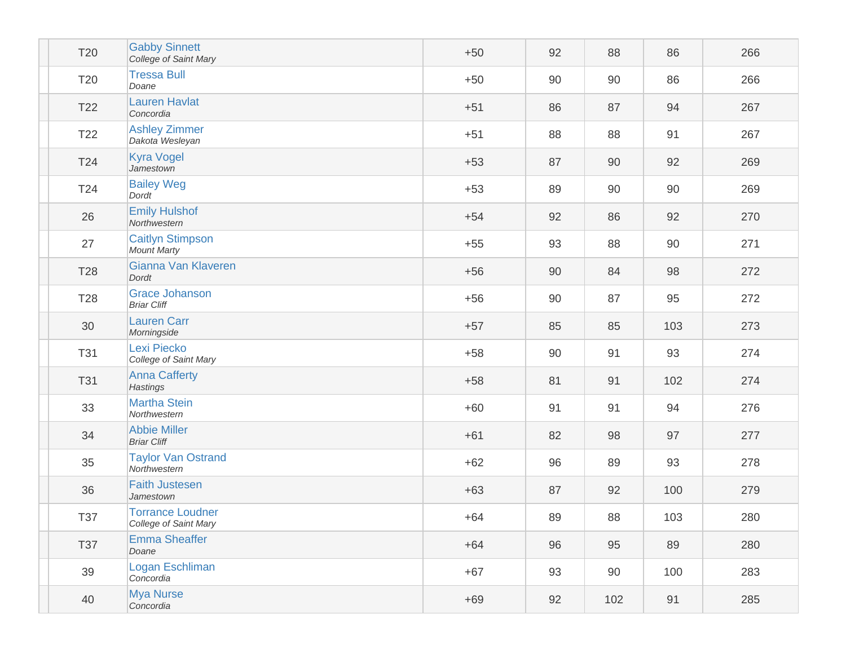| <b>T20</b>      | <b>Gabby Sinnett</b><br>College of Saint Mary    | $+50$ | 92 | 88  | 86  | 266 |
|-----------------|--------------------------------------------------|-------|----|-----|-----|-----|
| T20             | <b>Tressa Bull</b><br>Doane                      | $+50$ | 90 | 90  | 86  | 266 |
| T <sub>22</sub> | <b>Lauren Havlat</b><br>Concordia                | $+51$ | 86 | 87  | 94  | 267 |
| T <sub>22</sub> | <b>Ashley Zimmer</b><br>Dakota Wesleyan          | $+51$ | 88 | 88  | 91  | 267 |
| T24             | <b>Kyra Vogel</b><br>Jamestown                   | $+53$ | 87 | 90  | 92  | 269 |
| T24             | <b>Bailey Weg</b><br>Dordt                       | $+53$ | 89 | 90  | 90  | 269 |
| 26              | <b>Emily Hulshof</b><br>Northwestern             | $+54$ | 92 | 86  | 92  | 270 |
| 27              | <b>Caitlyn Stimpson</b><br><b>Mount Marty</b>    | $+55$ | 93 | 88  | 90  | 271 |
| T28             | Gianna Van Klaveren<br>Dordt                     | $+56$ | 90 | 84  | 98  | 272 |
| T <sub>28</sub> | <b>Grace Johanson</b><br><b>Briar Cliff</b>      | $+56$ | 90 | 87  | 95  | 272 |
| 30              | <b>Lauren Carr</b><br>Morningside                | $+57$ | 85 | 85  | 103 | 273 |
| <b>T31</b>      | Lexi Piecko<br>College of Saint Mary             | $+58$ | 90 | 91  | 93  | 274 |
| <b>T31</b>      | <b>Anna Cafferty</b><br><b>Hastings</b>          | $+58$ | 81 | 91  | 102 | 274 |
| 33              | <b>Martha Stein</b><br>Northwestern              | $+60$ | 91 | 91  | 94  | 276 |
| 34              | <b>Abbie Miller</b><br><b>Briar Cliff</b>        | $+61$ | 82 | 98  | 97  | 277 |
| 35              | <b>Taylor Van Ostrand</b><br>Northwestern        | $+62$ | 96 | 89  | 93  | 278 |
| 36              | <b>Faith Justesen</b><br>Jamestown               | $+63$ | 87 | 92  | 100 | 279 |
| <b>T37</b>      | <b>Torrance Loudner</b><br>College of Saint Mary | $+64$ | 89 | 88  | 103 | 280 |
| <b>T37</b>      | <b>Emma Sheaffer</b><br>Doane                    | $+64$ | 96 | 95  | 89  | 280 |
| 39              | Logan Eschliman<br>Concordia                     | $+67$ | 93 | 90  | 100 | 283 |
| 40              | <b>Mya Nurse</b><br>Concordia                    | $+69$ | 92 | 102 | 91  | 285 |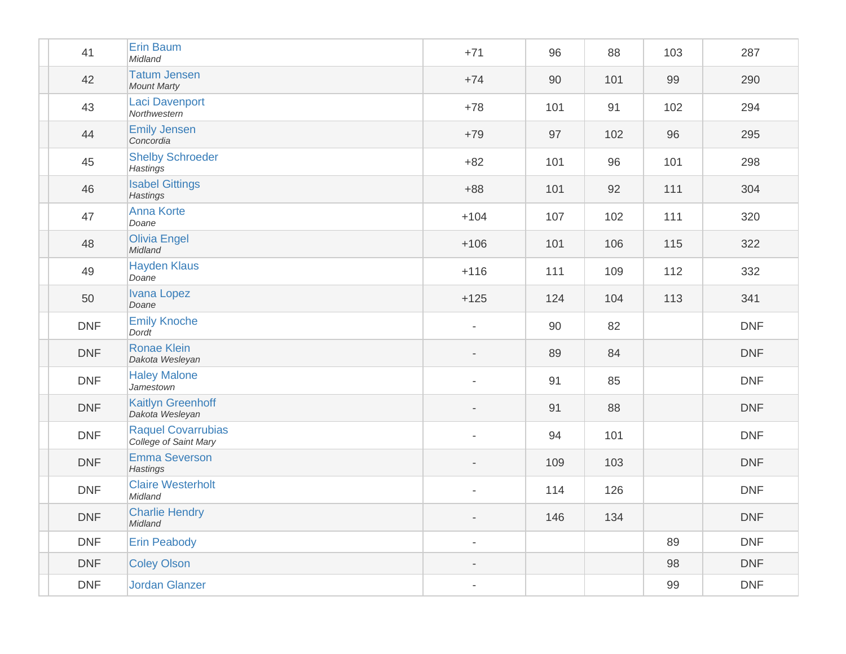| 41         | <b>Erin Baum</b><br>Midland                        | $+71$                    | 96  | 88  | 103 | 287        |
|------------|----------------------------------------------------|--------------------------|-----|-----|-----|------------|
| 42         | <b>Tatum Jensen</b><br><b>Mount Marty</b>          | $+74$                    | 90  | 101 | 99  | 290        |
| 43         | <b>Laci Davenport</b><br>Northwestern              | $+78$                    | 101 | 91  | 102 | 294        |
| 44         | <b>Emily Jensen</b><br>Concordia                   | $+79$                    | 97  | 102 | 96  | 295        |
| 45         | <b>Shelby Schroeder</b><br>Hastings                | $+82$                    | 101 | 96  | 101 | 298        |
| 46         | <b>Isabel Gittings</b><br>Hastings                 | $+88$                    | 101 | 92  | 111 | 304        |
| 47         | <b>Anna Korte</b><br>Doane                         | $+104$                   | 107 | 102 | 111 | 320        |
| 48         | <b>Olivia Engel</b><br>Midland                     | $+106$                   | 101 | 106 | 115 | 322        |
| 49         | <b>Hayden Klaus</b><br>Doane                       | $+116$                   | 111 | 109 | 112 | 332        |
| 50         | <b>Ivana Lopez</b><br>Doane                        | $+125$                   | 124 | 104 | 113 | 341        |
| <b>DNF</b> | <b>Emily Knoche</b><br>Dordt                       |                          | 90  | 82  |     | <b>DNF</b> |
| <b>DNF</b> | <b>Ronae Klein</b><br>Dakota Wesleyan              |                          | 89  | 84  |     | <b>DNF</b> |
| <b>DNF</b> | <b>Haley Malone</b><br>Jamestown                   |                          | 91  | 85  |     | <b>DNF</b> |
| <b>DNF</b> | <b>Kaitlyn Greenhoff</b><br>Dakota Wesleyan        |                          | 91  | 88  |     | <b>DNF</b> |
| <b>DNF</b> | <b>Raquel Covarrubias</b><br>College of Saint Mary |                          | 94  | 101 |     | <b>DNF</b> |
| <b>DNF</b> | <b>Emma Severson</b><br><b>Hastings</b>            |                          | 109 | 103 |     | <b>DNF</b> |
| <b>DNF</b> | <b>Claire Westerholt</b><br>Midland                |                          | 114 | 126 |     | <b>DNF</b> |
| <b>DNF</b> | <b>Charlie Hendry</b><br>Midland                   | $\overline{\phantom{a}}$ | 146 | 134 |     | <b>DNF</b> |
| <b>DNF</b> | <b>Erin Peabody</b>                                | $\blacksquare$           |     |     | 89  | <b>DNF</b> |
| <b>DNF</b> | <b>Coley Olson</b>                                 |                          |     |     | 98  | <b>DNF</b> |
| <b>DNF</b> | <b>Jordan Glanzer</b>                              | $\blacksquare$           |     |     | 99  | <b>DNF</b> |